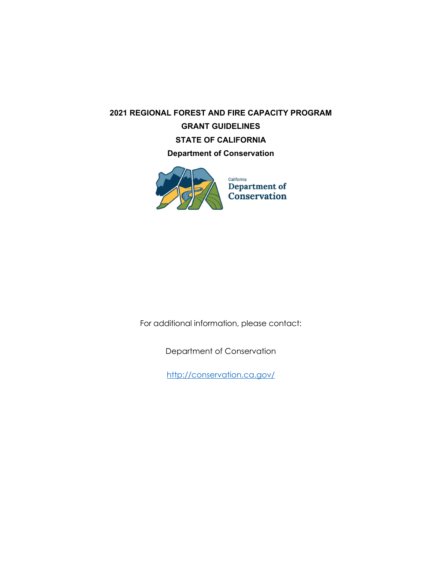# **2021 REGIONAL FOREST AND FIRE CAPACITY PROGRAM GRANT GUIDELINES STATE OF CALIFORNIA Department of Conservation**



For additional information, please contact:

Department of Conservation

<http://conservation.ca.gov/>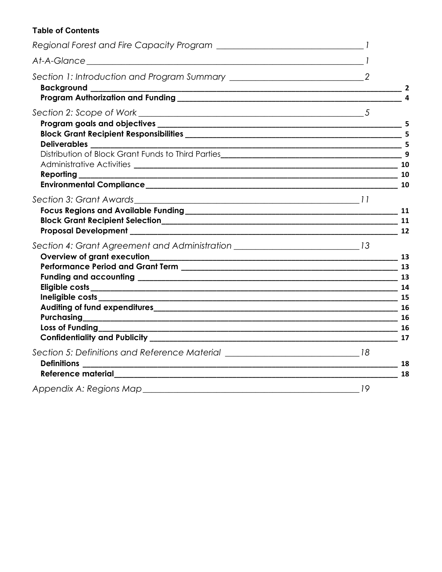# **Table of Contents**

|                                                                                    | $\overline{2}$ |
|------------------------------------------------------------------------------------|----------------|
|                                                                                    | 5              |
|                                                                                    |                |
| Section 4: Grant Agreement and Administration __________________________________13 |                |
| Section 5: Definitions and Reference Material _________________________________18  | 18<br>18       |
|                                                                                    |                |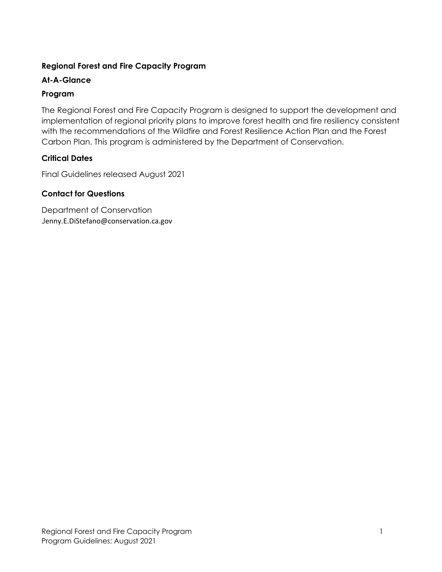# **Regional Forest and Fire Capacity Program**

# **At-A-Glance**

# **Program**

The Regional Forest and Fire Capacity Program is designed to support the development and implementation of regional priority plans to improve forest health and fire resiliency consistent with the recommendations of the Wildfire and Forest Resilience Action Plan and the Forest Carbon Plan. This program is administered by the Department of Conservation.

# **Critical Dates**

Final Guidelines released August 2021

# **Contact for Questions**

Department of Conservation Jenny.E.DiStefano@conservation.ca.gov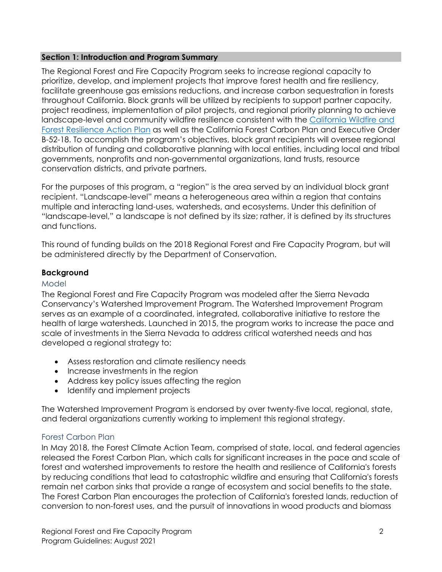#### **Section 1: Introduction and Program Summary**

The Regional Forest and Fire Capacity Program seeks to increase regional capacity to prioritize, develop, and implement projects that improve forest health and fire resiliency, facilitate greenhouse gas emissions reductions, and increase carbon sequestration in forests throughout California. Block grants will be utilized by recipients to support partner capacity, project readiness, implementation of pilot projects, and regional priority planning to achieve landscape-level and community wildfire resilience consistent with the [California Wildfire and](https://www.fire.ca.gov/media/ps4p2vck/californiawildfireandforestresilienceactionplan.pdf)  [Forest Resilience Action Plan](https://www.fire.ca.gov/media/ps4p2vck/californiawildfireandforestresilienceactionplan.pdf) as well as the California Forest Carbon Plan and Executive Order B-52-18. To accomplish the program's objectives, block grant recipients will oversee regional distribution of funding and collaborative planning with local entities, including local and tribal governments, nonprofits and non-governmental organizations, land trusts, resource conservation districts, and private partners.

For the purposes of this program, a "region" is the area served by an individual block grant recipient. "Landscape-level" means a heterogeneous area within a region that contains multiple and interacting land-uses, watersheds, and ecosystems. Under this definition of "landscape-level," a landscape is not defined by its size; rather, it is defined by its structures and functions.

This round of funding builds on the 2018 Regional Forest and Fire Capacity Program, but will be administered directly by the Department of Conservation.

# **Background**

#### Model

The Regional Forest and Fire Capacity Program was modeled after the Sierra Nevada Conservancy's Watershed Improvement Program. The Watershed Improvement Program serves as an example of a coordinated, integrated, collaborative initiative to restore the health of large watersheds. Launched in 2015, the program works to increase the pace and scale of investments in the Sierra Nevada to address critical watershed needs and has developed a regional strategy to:

- Assess restoration and climate resiliency needs
- Increase investments in the region
- Address key policy issues affecting the region
- Identify and implement projects

The Watershed Improvement Program is endorsed by over twenty-five local, regional, state, and federal organizations currently working to implement this regional strategy.

# Forest Carbon Plan

In May 2018, the Forest Climate Action Team, comprised of state, local, and federal agencies released the Forest Carbon Plan, which calls for significant increases in the pace and scale of forest and watershed improvements to restore the health and resilience of California's forests by reducing conditions that lead to catastrophic wildfire and ensuring that California's forests remain net carbon sinks that provide a range of ecosystem and social benefits to the state. The Forest Carbon Plan encourages the protection of California's forested lands, reduction of conversion to non-forest uses, and the pursuit of innovations in wood products and biomass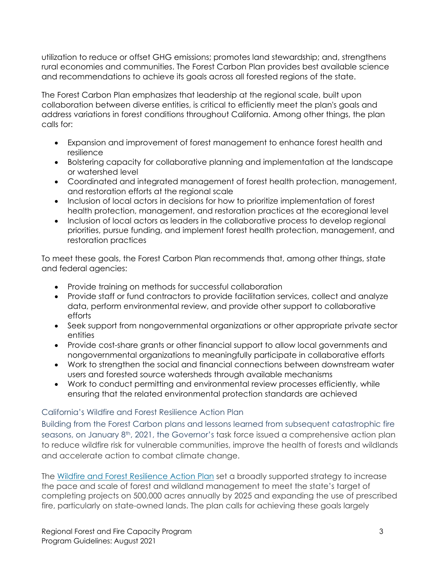utilization to reduce or offset GHG emissions; promotes land stewardship; and, strengthens rural economies and communities. The Forest Carbon Plan provides best available science and recommendations to achieve its goals across all forested regions of the state.

The Forest Carbon Plan emphasizes that leadership at the regional scale, built upon collaboration between diverse entities, is critical to efficiently meet the plan's goals and address variations in forest conditions throughout California. Among other things, the plan calls for:

- Expansion and improvement of forest management to enhance forest health and resilience
- Bolstering capacity for collaborative planning and implementation at the landscape or watershed level
- Coordinated and integrated management of forest health protection, management, and restoration efforts at the regional scale
- Inclusion of local actors in decisions for how to prioritize implementation of forest health protection, management, and restoration practices at the ecoregional level
- Inclusion of local actors as leaders in the collaborative process to develop regional priorities, pursue funding, and implement forest health protection, management, and restoration practices

To meet these goals, the Forest Carbon Plan recommends that, among other things, state and federal agencies:

- Provide training on methods for successful collaboration
- Provide staff or fund contractors to provide facilitation services, collect and analyze data, perform environmental review, and provide other support to collaborative efforts
- Seek support from nongovernmental organizations or other appropriate private sector entities
- Provide cost-share grants or other financial support to allow local governments and nongovernmental organizations to meaningfully participate in collaborative efforts
- Work to strengthen the social and financial connections between downstream water users and forested source watersheds through available mechanisms
- Work to conduct permitting and environmental review processes efficiently, while ensuring that the related environmental protection standards are achieved

# California's Wildfire and Forest Resilience Action Plan

Building from the Forest Carbon plans and lessons learned from subsequent catastrophic fire seasons, on January  $8<sup>th</sup>$ , 2021, the Governor's task force issued a comprehensive action plan to reduce wildfire risk for vulnerable communities, improve the health of forests and wildlands and accelerate action to combat climate change.

The Wildfire and Forest [Resilience](https://fmtf.fire.ca.gov/media/cjwfpckz/californiawildfireandforestresilienceactionplan.pdf) Action Plan set a broadly supported strategy to increase the pace and scale of forest and wildland management to meet the state's target of completing projects on 500,000 acres annually by 2025 and expanding the use of prescribed fire, particularly on state-owned lands. The plan calls for achieving these goals largely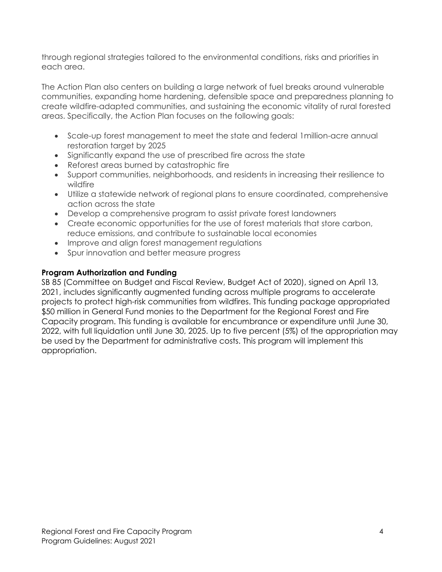through regional strategies tailored to the environmental conditions, risks and priorities in each area.

The Action Plan also centers on building a large network of fuel breaks around vulnerable communities, expanding home hardening, defensible space and preparedness planning to create wildfire-adapted communities, and sustaining the economic vitality of rural forested areas. Specifically, the Action Plan focuses on the following goals:

- Scale-up forest management to meet the state and federal 1million-acre annual restoration target by 2025
- Significantly expand the use of prescribed fire across the state
- Reforest areas burned by catastrophic fire
- Support communities, neighborhoods, and residents in increasing their resilience to wildfire
- Utilize a statewide network of regional plans to ensure coordinated, comprehensive action across the state
- Develop a comprehensive program to assist private forest landowners
- Create economic opportunities for the use of forest materials that store carbon, reduce emissions, and contribute to sustainable local economies
- Improve and align forest management regulations
- Spur innovation and better measure progress

# **Program Authorization and Funding**

SB 85 (Committee on Budget and Fiscal Review, Budget Act of 2020), signed on April 13, 2021, includes significantly augmented funding across multiple programs to accelerate projects to protect high-risk communities from wildfires. This funding package appropriated \$50 million in General Fund monies to the Department for the Regional Forest and Fire Capacity program. This funding is available for encumbrance or expenditure until June 30, 2022, with full liquidation until June 30, 2025. Up to five percent (5%) of the appropriation may be used by the Department for administrative costs. This program will implement this appropriation.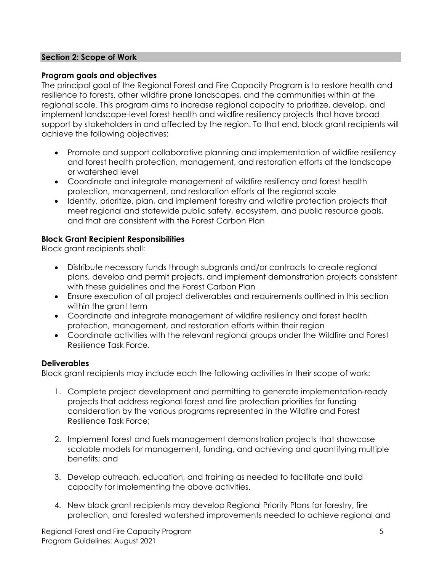#### **Section 2: Scope of Work**

#### **Program goals and objectives**

The principal goal of the Regional Forest and Fire Capacity Program is to restore health and resilience to forests, other wildfire prone landscapes, and the communities within at the regional scale. This program aims to increase regional capacity to prioritize, develop, and implement landscape-level forest health and wildfire resiliency projects that have broad support by stakeholders in and affected by the region. To that end, block grant recipients will achieve the following objectives:

- Promote and support collaborative planning and implementation of wildfire resiliency and forest health protection, management, and restoration efforts at the landscape or watershed level
- Coordinate and integrate management of wildfire resiliency and forest health protection, management, and restoration efforts at the regional scale
- Identify, prioritize, plan, and implement forestry and wildfire protection projects that meet regional and statewide public safety, ecosystem, and public resource goals, and that are consistent with the Forest Carbon Plan

## **Block Grant Recipient Responsibilities**

Block grant recipients shall:

- Distribute necessary funds through subgrants and/or contracts to create regional plans, develop and permit projects, and implement demonstration projects consistent with these guidelines and the Forest Carbon Plan
- Ensure execution of all project deliverables and requirements outlined in this section within the grant term
- Coordinate and integrate management of wildfire resiliency and forest health protection, management, and restoration efforts within their region
- Coordinate activities with the relevant regional groups under the Wildfire and Forest Resilience Task Force.

## **Deliverables**

Block grant recipients may include each the following activities in their scope of work:

- 1. Complete project development and permitting to generate implementation-ready projects that address regional forest and fire protection priorities for funding consideration by the various programs represented in the Wildfire and Forest Resilience Task Force;
- 2. Implement forest and fuels management demonstration projects that showcase scalable models for management, funding, and achieving and quantifying multiple benefits; and
- 3. Develop outreach, education, and training as needed to facilitate and build capacity for implementing the above activities.
- 4. New block grant recipients may develop Regional Priority Plans for forestry, fire protection, and forested watershed improvements needed to achieve regional and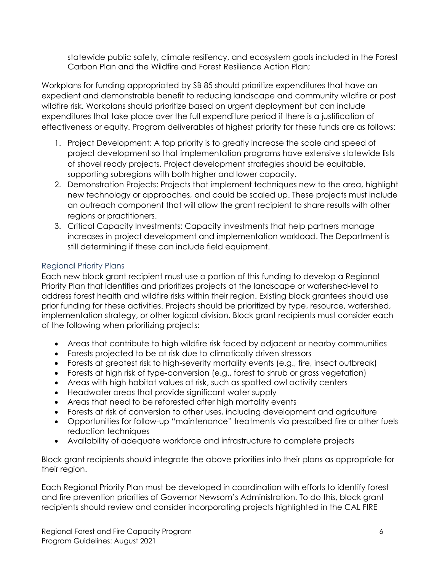statewide public safety, climate resiliency, and ecosystem goals included in the Forest Carbon Plan and the Wildfire and Forest Resilience Action Plan;

Workplans for funding appropriated by SB 85 should prioritize expenditures that have an expedient and demonstrable benefit to reducing landscape and community wildfire or post wildfire risk. Workplans should prioritize based on urgent deployment but can include expenditures that take place over the full expenditure period if there is a justification of effectiveness or equity. Program deliverables of highest priority for these funds are as follows:

- 1. Project Development: A top priority is to greatly increase the scale and speed of project development so that implementation programs have extensive statewide lists of shovel ready projects. Project development strategies should be equitable, supporting subregions with both higher and lower capacity.
- 2. Demonstration Projects: Projects that implement techniques new to the area, highlight new technology or approaches, and could be scaled up. These projects must include an outreach component that will allow the grant recipient to share results with other regions or practitioners.
- 3. Critical Capacity Investments: Capacity investments that help partners manage increases in project development and implementation workload. The Department is still determining if these can include field equipment.

# Regional Priority Plans

Each new block grant recipient must use a portion of this funding to develop a Regional Priority Plan that identifies and prioritizes projects at the landscape or watershed-level to address forest health and wildfire risks within their region. Existing block grantees should use prior funding for these activities. Projects should be prioritized by type, resource, watershed, implementation strategy, or other logical division. Block grant recipients must consider each of the following when prioritizing projects:

- Areas that contribute to high wildfire risk faced by adjacent or nearby communities
- Forests projected to be at risk due to climatically driven stressors
- Forests at greatest risk to high-severity mortality events (e.g., fire, insect outbreak)
- Forests at high risk of type-conversion (e.g., forest to shrub or grass vegetation)
- Areas with high habitat values at risk, such as spotted owl activity centers
- Headwater areas that provide significant water supply
- Areas that need to be reforested after high mortality events
- Forests at risk of conversion to other uses, including development and agriculture
- Opportunities for follow-up "maintenance" treatments via prescribed fire or other fuels reduction techniques
- Availability of adequate workforce and infrastructure to complete projects

Block grant recipients should integrate the above priorities into their plans as appropriate for their region.

Each Regional Priority Plan must be developed in coordination with efforts to identify forest and fire prevention priorities of Governor Newsom's Administration. To do this, block grant recipients should review and consider incorporating projects highlighted in the CAL FIRE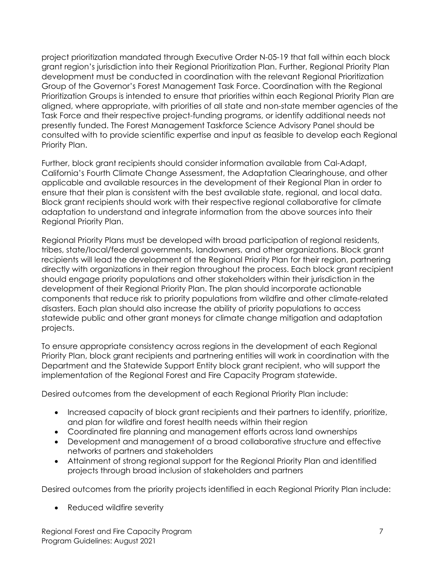project prioritization mandated through Executive Order N-05-19 that fall within each block grant region's jurisdiction into their Regional Prioritization Plan. Further, Regional Priority Plan development must be conducted in coordination with the relevant Regional Prioritization Group of the Governor's Forest Management Task Force. Coordination with the Regional Prioritization Groups is intended to ensure that priorities within each Regional Priority Plan are aligned, where appropriate, with priorities of all state and non-state member agencies of the Task Force and their respective project-funding programs, or identify additional needs not presently funded. The Forest Management Taskforce Science Advisory Panel should be consulted with to provide scientific expertise and input as feasible to develop each Regional Priority Plan.

Further, block grant recipients should consider information available from Cal-Adapt, California's Fourth Climate Change Assessment, the Adaptation Clearinghouse, and other applicable and available resources in the development of their Regional Plan in order to ensure that their plan is consistent with the best available state, regional, and local data. Block grant recipients should work with their respective regional collaborative for climate adaptation to understand and integrate information from the above sources into their Regional Priority Plan.

Regional Priority Plans must be developed with broad participation of regional residents, tribes, state/local/federal governments, landowners, and other organizations. Block grant recipients will lead the development of the Regional Priority Plan for their region, partnering directly with organizations in their region throughout the process. Each block grant recipient should engage priority populations and other stakeholders within their jurisdiction in the development of their Regional Priority Plan. The plan should incorporate actionable components that reduce risk to priority populations from wildfire and other climate-related disasters. Each plan should also increase the ability of priority populations to access statewide public and other grant moneys for climate change mitigation and adaptation projects.

To ensure appropriate consistency across regions in the development of each Regional Priority Plan, block grant recipients and partnering entities will work in coordination with the Department and the Statewide Support Entity block grant recipient, who will support the implementation of the Regional Forest and Fire Capacity Program statewide.

Desired outcomes from the development of each Regional Priority Plan include:

- Increased capacity of block grant recipients and their partners to identify, prioritize, and plan for wildfire and forest health needs within their region
- Coordinated fire planning and management efforts across land ownerships
- Development and management of a broad collaborative structure and effective networks of partners and stakeholders
- Attainment of strong regional support for the Regional Priority Plan and identified projects through broad inclusion of stakeholders and partners

Desired outcomes from the priority projects identified in each Regional Priority Plan include:

• Reduced wildfire severity

Regional Forest and Fire Capacity Program 7 Program Guidelines: August 2021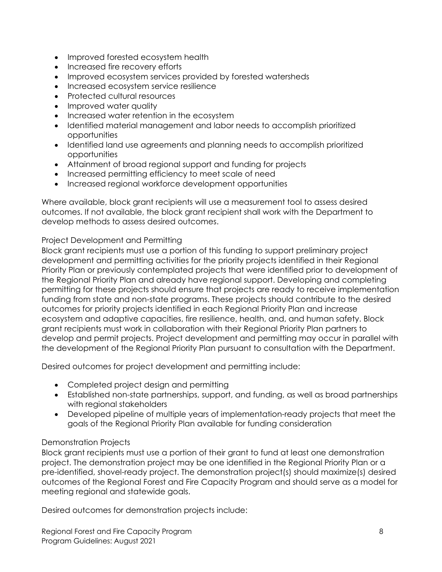- Improved forested ecosystem health
- Increased fire recovery efforts
- Improved ecosystem services provided by forested watersheds
- Increased ecosystem service resilience
- Protected cultural resources
- Improved water quality
- Increased water retention in the ecosystem
- Identified material management and labor needs to accomplish prioritized opportunities
- Identified land use agreements and planning needs to accomplish prioritized opportunities
- Attainment of broad regional support and funding for projects
- Increased permitting efficiency to meet scale of need
- Increased regional workforce development opportunities

Where available, block grant recipients will use a measurement tool to assess desired outcomes. If not available, the block grant recipient shall work with the Department to develop methods to assess desired outcomes.

#### Project Development and Permitting

Block grant recipients must use a portion of this funding to support preliminary project development and permitting activities for the priority projects identified in their Regional Priority Plan or previously contemplated projects that were identified prior to development of the Regional Priority Plan and already have regional support. Developing and completing permitting for these projects should ensure that projects are ready to receive implementation funding from state and non-state programs. These projects should contribute to the desired outcomes for priority projects identified in each Regional Priority Plan and increase ecosystem and adaptive capacities, fire resilience, health, and, and human safety. Block grant recipients must work in collaboration with their Regional Priority Plan partners to develop and permit projects. Project development and permitting may occur in parallel with the development of the Regional Priority Plan pursuant to consultation with the Department.

Desired outcomes for project development and permitting include:

- Completed project design and permitting
- Established non-state partnerships, support, and funding, as well as broad partnerships with regional stakeholders
- Developed pipeline of multiple years of implementation-ready projects that meet the goals of the Regional Priority Plan available for funding consideration

## Demonstration Projects

Block grant recipients must use a portion of their grant to fund at least one demonstration project. The demonstration project may be one identified in the Regional Priority Plan or a pre-identified, shovel-ready project. The demonstration project(s) should maximize(s) desired outcomes of the Regional Forest and Fire Capacity Program and should serve as a model for meeting regional and statewide goals.

Desired outcomes for demonstration projects include: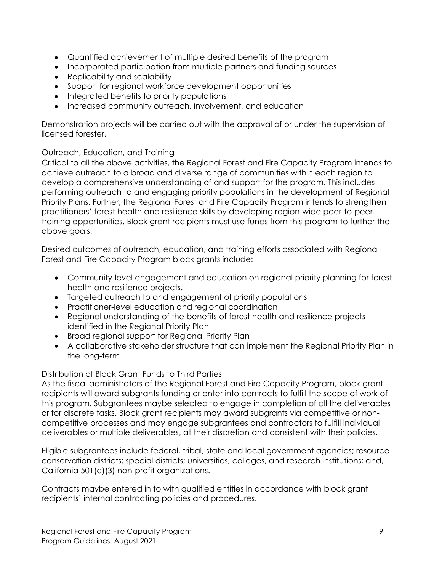- Quantified achievement of multiple desired benefits of the program
- Incorporated participation from multiple partners and funding sources
- Replicability and scalability
- Support for regional workforce development opportunities
- Integrated benefits to priority populations
- Increased community outreach, involvement, and education

Demonstration projects will be carried out with the approval of or under the supervision of licensed forester.

Outreach, Education, and Training

Critical to all the above activities, the Regional Forest and Fire Capacity Program intends to achieve outreach to a broad and diverse range of communities within each region to develop a comprehensive understanding of and support for the program. This includes performing outreach to and engaging priority populations in the development of Regional Priority Plans. Further, the Regional Forest and Fire Capacity Program intends to strengthen practitioners' forest health and resilience skills by developing region-wide peer-to-peer training opportunities. Block grant recipients must use funds from this program to further the above goals.

Desired outcomes of outreach, education, and training efforts associated with Regional Forest and Fire Capacity Program block grants include:

- Community-level engagement and education on regional priority planning for forest health and resilience projects.
- Targeted outreach to and engagement of priority populations
- Practitioner-level education and regional coordination
- Regional understanding of the benefits of forest health and resilience projects identified in the Regional Priority Plan
- Broad regional support for Regional Priority Plan
- A collaborative stakeholder structure that can implement the Regional Priority Plan in the long-term

Distribution of Block Grant Funds to Third Parties

As the fiscal administrators of the Regional Forest and Fire Capacity Program, block grant recipients will award subgrants funding or enter into contracts to fulfill the scope of work of this program. Subgrantees maybe selected to engage in completion of all the deliverables or for discrete tasks. Block grant recipients may award subgrants via competitive or noncompetitive processes and may engage subgrantees and contractors to fulfill individual deliverables or multiple deliverables, at their discretion and consistent with their policies.

Eligible subgrantees include federal, tribal, state and local government agencies; resource conservation districts; special districts; universities, colleges, and research institutions; and, California 501(c)(3) non-profit organizations.

Contracts maybe entered in to with qualified entities in accordance with block grant recipients' internal contracting policies and procedures.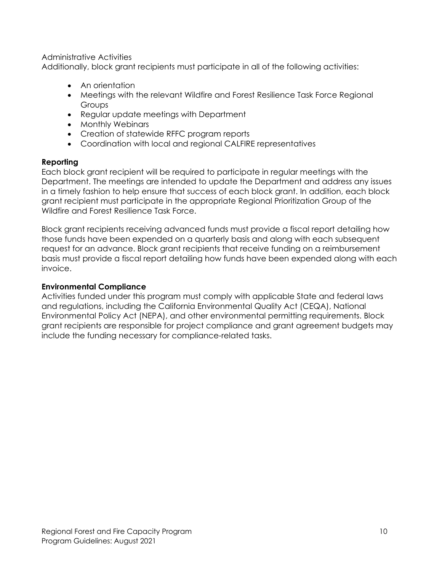Administrative Activities

Additionally, block grant recipients must participate in all of the following activities:

- An orientation
- Meetings with the relevant Wildfire and Forest Resilience Task Force Regional Groups
- Regular update meetings with Department
- Monthly Webinars
- Creation of statewide RFFC program reports
- Coordination with local and regional CALFIRE representatives

# **Reporting**

Each block grant recipient will be required to participate in regular meetings with the Department. The meetings are intended to update the Department and address any issues in a timely fashion to help ensure that success of each block grant. In addition, each block grant recipient must participate in the appropriate Regional Prioritization Group of the Wildfire and Forest Resilience Task Force.

Block grant recipients receiving advanced funds must provide a fiscal report detailing how those funds have been expended on a quarterly basis and along with each subsequent request for an advance. Block grant recipients that receive funding on a reimbursement basis must provide a fiscal report detailing how funds have been expended along with each invoice.

## **Environmental Compliance**

Activities funded under this program must comply with applicable State and federal laws and regulations, including the California Environmental Quality Act (CEQA), National Environmental Policy Act (NEPA), and other environmental permitting requirements. Block grant recipients are responsible for project compliance and grant agreement budgets may include the funding necessary for compliance-related tasks.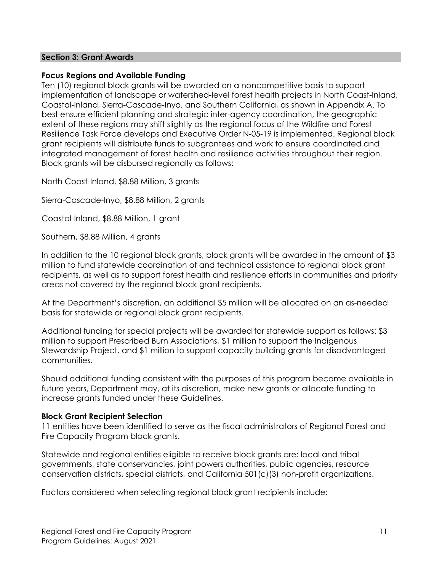#### **Section 3: Grant Awards**

#### **Focus Regions and Available Funding**

Ten (10) regional block grants will be awarded on a noncompetitive basis to support implementation of landscape or watershed-level forest health projects in North Coast-Inland, Coastal-Inland, Sierra-Cascade-Inyo, and Southern California, as shown in Appendix A. To best ensure efficient planning and strategic inter-agency coordination, the geographic extent of these regions may shift slightly as the regional focus of the Wildfire and Forest Resilience Task Force develops and Executive Order N-05-19 is implemented. Regional block grant recipients will distribute funds to subgrantees and work to ensure coordinated and integrated management of forest health and resilience activities throughout their region. Block grants will be disbursed regionally as follows:

North Coast-Inland, \$8.88 Million, 3 grants

Sierra-Cascade-Inyo, \$8.88 Million, 2 grants

Coastal-Inland, \$8.88 Million, 1 grant

Southern, \$8.88 Million, 4 grants

In addition to the 10 regional block grants, block grants will be awarded in the amount of \$3 million to fund statewide coordination of and technical assistance to regional block grant recipients, as well as to support forest health and resilience efforts in communities and priority areas not covered by the regional block grant recipients.

At the Department's discretion, an additional \$5 million will be allocated on an as-needed basis for statewide or regional block grant recipients.

Additional funding for special projects will be awarded for statewide support as follows: \$3 million to support Prescribed Burn Associations, \$1 million to support the Indigenous Stewardship Project, and \$1 million to support capacity building grants for disadvantaged communities.

Should additional funding consistent with the purposes of this program become available in future years, Department may, at its discretion, make new grants or allocate funding to increase grants funded under these Guidelines.

#### **Block Grant Recipient Selection**

11 entities have been identified to serve as the fiscal administrators of Regional Forest and Fire Capacity Program block grants.

Statewide and regional entities eligible to receive block grants are: local and tribal governments, state conservancies, joint powers authorities, public agencies, resource conservation districts, special districts, and California 501(c)(3) non-profit organizations.

Factors considered when selecting regional block grant recipients include: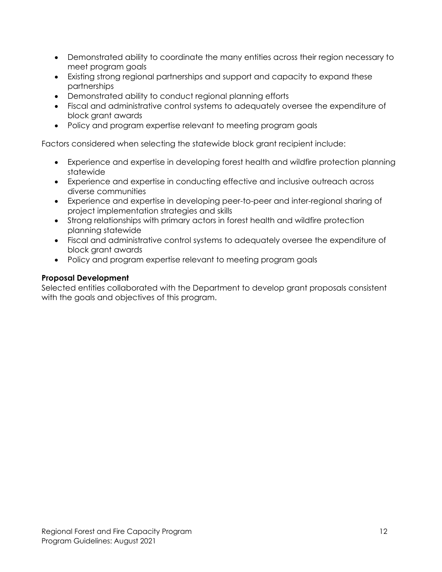- Demonstrated ability to coordinate the many entities across their region necessary to meet program goals
- Existing strong regional partnerships and support and capacity to expand these partnerships
- Demonstrated ability to conduct regional planning efforts
- Fiscal and administrative control systems to adequately oversee the expenditure of block grant awards
- Policy and program expertise relevant to meeting program goals

Factors considered when selecting the statewide block grant recipient include:

- Experience and expertise in developing forest health and wildfire protection planning statewide
- Experience and expertise in conducting effective and inclusive outreach across diverse communities
- Experience and expertise in developing peer-to-peer and inter-regional sharing of project implementation strategies and skills
- Strong relationships with primary actors in forest health and wildfire protection planning statewide
- Fiscal and administrative control systems to adequately oversee the expenditure of block grant awards
- Policy and program expertise relevant to meeting program goals

## **Proposal Development**

Selected entities collaborated with the Department to develop grant proposals consistent with the goals and objectives of this program.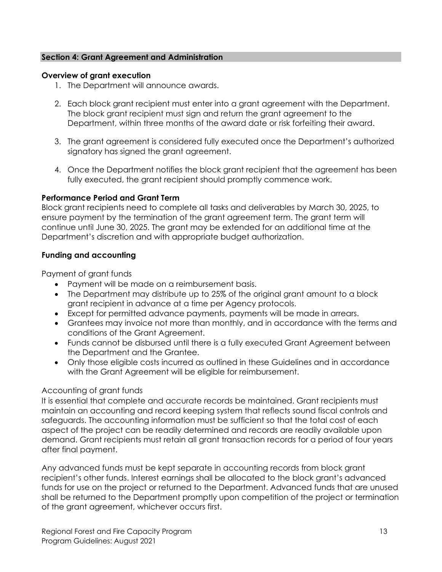#### **Section 4: Grant Agreement and Administration**

#### **Overview of grant execution**

- 1. The Department will announce awards.
- 2. Each block grant recipient must enter into a grant agreement with the Department. The block grant recipient must sign and return the grant agreement to the Department, within three months of the award date or risk forfeiting their award.
- 3. The grant agreement is considered fully executed once the Department's authorized signatory has signed the grant agreement.
- 4. Once the Department notifies the block grant recipient that the agreement has been fully executed, the grant recipient should promptly commence work.

#### **Performance Period and Grant Term**

Block grant recipients need to complete all tasks and deliverables by March 30, 2025, to ensure payment by the termination of the grant agreement term. The grant term will continue until June 30, 2025. The grant may be extended for an additional time at the Department's discretion and with appropriate budget authorization.

#### **Funding and accounting**

Payment of grant funds

- Payment will be made on a reimbursement basis.
- The Department may distribute up to 25% of the original grant amount to a block grant recipient in advance at a time per Agency protocols.
- Except for permitted advance payments, payments will be made in arrears.
- Grantees may invoice not more than monthly, and in accordance with the terms and conditions of the Grant Agreement.
- Funds cannot be disbursed until there is a fully executed Grant Agreement between the Department and the Grantee.
- Only those eligible costs incurred as outlined in these Guidelines and in accordance with the Grant Agreement will be eligible for reimbursement.

## Accounting of grant funds

It is essential that complete and accurate records be maintained. Grant recipients must maintain an accounting and record keeping system that reflects sound fiscal controls and safeguards. The accounting information must be sufficient so that the total cost of each aspect of the project can be readily determined and records are readily available upon demand. Grant recipients must retain all grant transaction records for a period of four years after final payment.

Any advanced funds must be kept separate in accounting records from block grant recipient's other funds. Interest earnings shall be allocated to the block grant's advanced funds for use on the project or returned to the Department. Advanced funds that are unused shall be returned to the Department promptly upon competition of the project or termination of the grant agreement, whichever occurs first.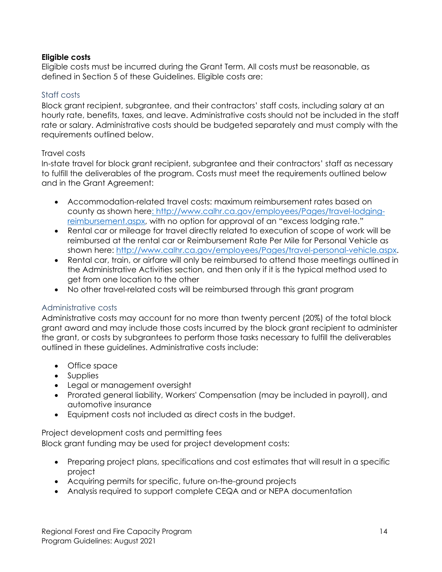#### **Eligible costs**

Eligible costs must be incurred during the Grant Term. All costs must be reasonable, as defined in Section 5 of these Guidelines. Eligible costs are:

#### Staff costs

Block grant recipient, subgrantee, and their contractors' staff costs, including salary at an hourly rate, benefits, taxes, and leave. Administrative costs should not be included in the staff rate or salary. Administrative costs should be budgeted separately and must comply with the requirements outlined below.

#### Travel costs

In-state travel for block grant recipient, subgrantee and their contractors' staff as necessary to fulfill the deliverables of the program. Costs must meet the requirements outlined below and in the Grant Agreement:

- Accommodation-related travel costs: maximum reimbursement rates based on county as shown her[e: http://www.calhr.ca.gov/employees/Pages/travel-lodging](http://www.calhr.ca.gov/employees/Pages/travel-lodging-reimbursement.aspx)[reimbursement.aspx,](http://www.calhr.ca.gov/employees/Pages/travel-lodging-reimbursement.aspx) with no option for approval of an "excess lodging rate."
- Rental car or mileage for travel directly related to execution of scope of work will be reimbursed at the rental car or Reimbursement Rate Per Mile for Personal Vehicle as shown here: [http://www.calhr.ca.gov/employees/Pages/travel-personal-vehicle.aspx.](http://www.calhr.ca.gov/employees/Pages/travel-personal-vehicle.aspx)
- Rental car, train, or airfare will only be reimbursed to attend those meetings outlined in the Administrative Activities section, and then only if it is the typical method used to get from one location to the other
- No other travel-related costs will be reimbursed through this grant program

## Administrative costs

Administrative costs may account for no more than twenty percent (20%) of the total block grant award and may include those costs incurred by the block grant recipient to administer the grant, or costs by subgrantees to perform those tasks necessary to fulfill the deliverables outlined in these guidelines. Administrative costs include:

- Office space
- Supplies
- Legal or management oversight
- Prorated general liability, Workers' Compensation (may be included in payroll), and automotive insurance
- Equipment costs not included as direct costs in the budget.

#### Project development costs and permitting fees

Block grant funding may be used for project development costs:

- Preparing project plans, specifications and cost estimates that will result in a specific project
- Acquiring permits for specific, future on-the-ground projects
- Analysis required to support complete CEQA and or NEPA documentation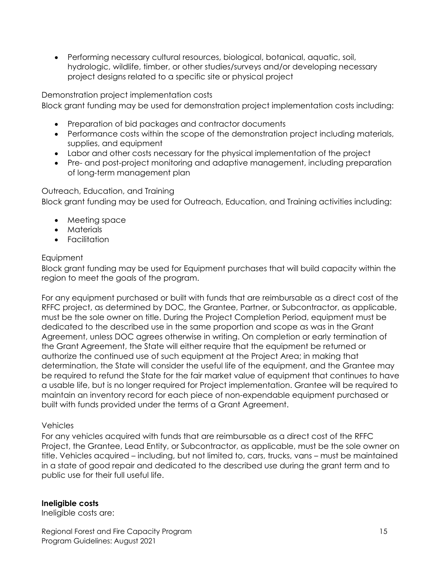• Performing necessary cultural resources, biological, botanical, aquatic, soil, hydrologic, wildlife, timber, or other studies/surveys and/or developing necessary project designs related to a specific site or physical project

Demonstration project implementation costs

Block grant funding may be used for demonstration project implementation costs including:

- Preparation of bid packages and contractor documents
- Performance costs within the scope of the demonstration project including materials, supplies, and equipment
- Labor and other costs necessary for the physical implementation of the project
- Pre- and post-project monitoring and adaptive management, including preparation of long-term management plan

Outreach, Education, and Training Block grant funding may be used for Outreach, Education, and Training activities including:

- Meeting space
- Materials
- Facilitation

# **Equipment**

Block grant funding may be used for Equipment purchases that will build capacity within the region to meet the goals of the program.

For any equipment purchased or built with funds that are reimbursable as a direct cost of the RFFC project, as determined by DOC, the Grantee, Partner, or Subcontractor, as applicable, must be the sole owner on title. During the Project Completion Period, equipment must be dedicated to the described use in the same proportion and scope as was in the Grant Agreement, unless DOC agrees otherwise in writing. On completion or early termination of the Grant Agreement, the State will either require that the equipment be returned or authorize the continued use of such equipment at the Project Area; in making that determination, the State will consider the useful life of the equipment, and the Grantee may be required to refund the State for the fair market value of equipment that continues to have a usable life, but is no longer required for Project implementation. Grantee will be required to maintain an inventory record for each piece of non-expendable equipment purchased or built with funds provided under the terms of a Grant Agreement.

## Vehicles

For any vehicles acquired with funds that are reimbursable as a direct cost of the RFFC Project, the Grantee, Lead Entity, or Subcontractor, as applicable, must be the sole owner on title. Vehicles acquired – including, but not limited to, cars, trucks, vans – must be maintained in a state of good repair and dedicated to the described use during the grant term and to public use for their full useful life.

## **Ineligible costs**

Ineligible costs are: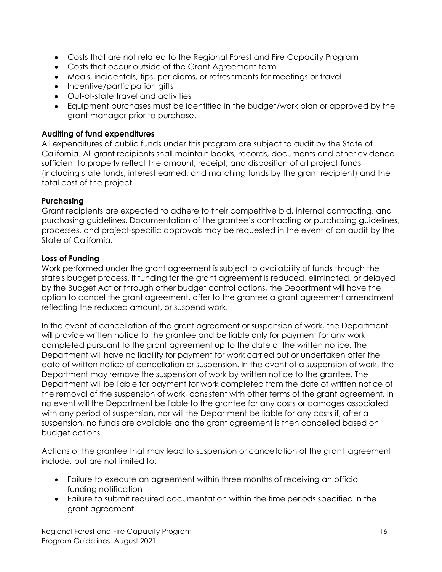- Costs that are not related to the Regional Forest and Fire Capacity Program
- Costs that occur outside of the Grant Agreement term
- Meals, incidentals, tips, per diems, or refreshments for meetings or travel
- Incentive/participation gifts
- Out-of-state travel and activities
- Equipment purchases must be identified in the budget/work plan or approved by the grant manager prior to purchase.

#### **Auditing of fund expenditures**

All expenditures of public funds under this program are subject to audit by the State of California. All grant recipients shall maintain books, records, documents and other evidence sufficient to properly reflect the amount, receipt, and disposition of all project funds (including state funds, interest earned, and matching funds by the grant recipient) and the total cost of the project.

#### **Purchasing**

Grant recipients are expected to adhere to their competitive bid, internal contracting, and purchasing guidelines. Documentation of the grantee's contracting or purchasing guidelines, processes, and project-specific approvals may be requested in the event of an audit by the State of California.

#### **Loss of Funding**

Work performed under the grant agreement is subject to availability of funds through the state's budget process. If funding for the grant agreement is reduced, eliminated, or delayed by the Budget Act or through other budget control actions, the Department will have the option to cancel the grant agreement, offer to the grantee a grant agreement amendment reflecting the reduced amount, or suspend work.

In the event of cancellation of the grant agreement or suspension of work, the Department will provide written notice to the grantee and be liable only for payment for any work completed pursuant to the grant agreement up to the date of the written notice. The Department will have no liability for payment for work carried out or undertaken after the date of written notice of cancellation or suspension. In the event of a suspension of work, the Department may remove the suspension of work by written notice to the grantee. The Department will be liable for payment for work completed from the date of written notice of the removal of the suspension of work, consistent with other terms of the grant agreement. In no event will the Department be liable to the grantee for any costs or damages associated with any period of suspension, nor will the Department be liable for any costs if, after a suspension, no funds are available and the grant agreement is then cancelled based on budget actions.

Actions of the grantee that may lead to suspension or cancellation of the grant agreement include, but are not limited to:

- Failure to execute an agreement within three months of receiving an official funding notification
- Failure to submit required documentation within the time periods specified in the grant agreement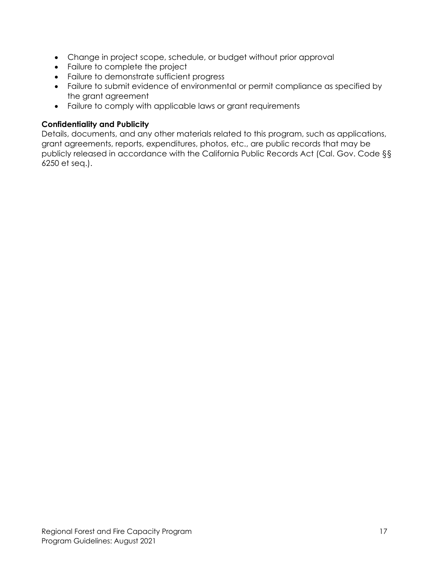- Change in project scope, schedule, or budget without prior approval
- Failure to complete the project
- Failure to demonstrate sufficient progress
- Failure to submit evidence of environmental or permit compliance as specified by the grant agreement
- Failure to comply with applicable laws or grant requirements

## **Confidentiality and Publicity**

Details, documents, and any other materials related to this program, such as applications, grant agreements, reports, expenditures, photos, etc., are public records that may be publicly released in accordance with the California Public Records Act (Cal. Gov. Code §§ 6250 et seq.).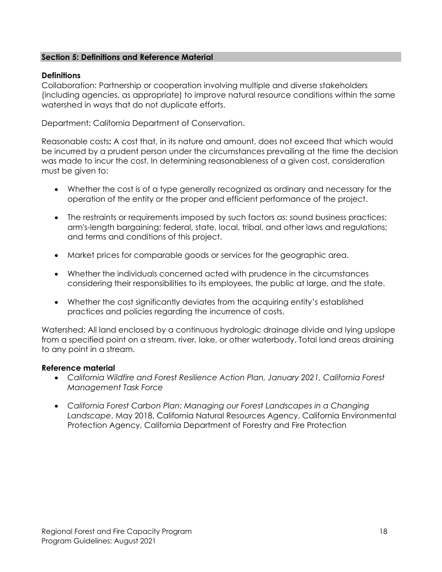#### **Section 5: Definitions and Reference Material**

#### **Definitions**

Collaboration: Partnership or cooperation involving multiple and diverse stakeholders (including agencies, as appropriate) to improve natural resource conditions within the same watershed in ways that do not duplicate efforts.

Department: California Department of Conservation.

Reasonable costs**:** A cost that, in its nature and amount, does not exceed that which would be incurred by a prudent person under the circumstances prevailing at the time the decision was made to incur the cost. In determining reasonableness of a given cost, consideration must be given to:

- Whether the cost is of a type generally recognized as ordinary and necessary for the operation of the entity or the proper and efficient performance of the project.
- The restraints or requirements imposed by such factors as: sound business practices; arm's-length bargaining; federal, state, local, tribal, and other laws and regulations; and terms and conditions of this project.
- Market prices for comparable goods or services for the geographic area.
- Whether the individuals concerned acted with prudence in the circumstances considering their responsibilities to its employees, the public at large, and the state.
- Whether the cost significantly deviates from the acquiring entity's established practices and policies regarding the incurrence of costs.

Watershed: All land enclosed by a continuous hydrologic drainage divide and lying upslope from a specified point on a stream, river, lake, or other waterbody. Total land areas draining to any point in a stream.

#### **Reference material**

- *California Wildfire and Forest Resilience Action Plan, January 2021, California Forest Management Task Force*
- *California Forest Carbon Plan: Managing our Forest Landscapes in a Changing Landscape*, May 2018, California Natural Resources Agency, California Environmental Protection Agency, California Department of Forestry and Fire Protection